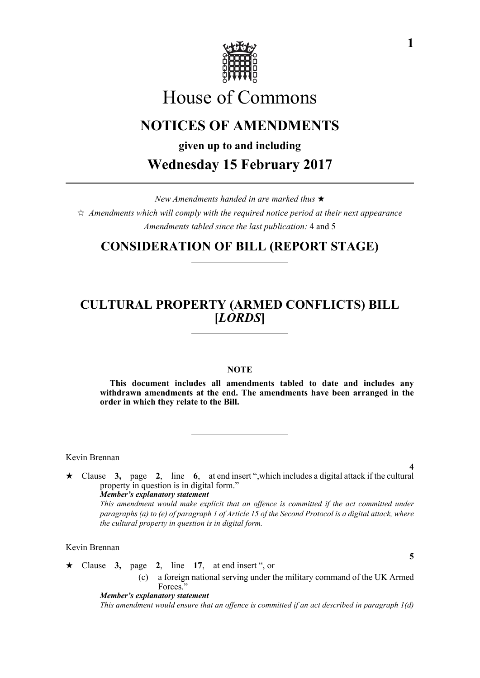

# House of Commons

# **NOTICES OF AMENDMENTS**

**given up to and including**

**Wednesday 15 February 2017**

*New Amendments handed in are marked thus*   $\hat{\varphi}$  Amendments which will comply with the required notice period at their next appearance *Amendments tabled since the last publication:* 4 and 5

# **CONSIDERATION OF BILL (REPORT STAGE)**

# **CULTURAL PROPERTY (ARMED CONFLICTS) BILL [***LORDS***]**

### **NOTE**

**This document includes all amendments tabled to date and includes any withdrawn amendments at the end. The amendments have been arranged in the order in which they relate to the Bill.**

Kevin Brennan

 Clause **3,** page **2**, line **6**, at end insert ",which includes a digital attack if the cultural property in question is in digital form." *Member's explanatory statement This amendment would make explicit that an offence is committed if the act committed under paragraphs (a) to (e) of paragraph 1 of Article 15 of the Second Protocol is a digital attack, where the cultural property in question is in digital form.*

Kevin Brennan

 $\star$  Clause 3, page 2, line 17, at end insert ", or

(c) a foreign national serving under the military command of the UK Armed Forces."

*Member's explanatory statement* 

*This amendment would ensure that an offence is committed if an act described in paragraph 1(d)*

**4**

**5**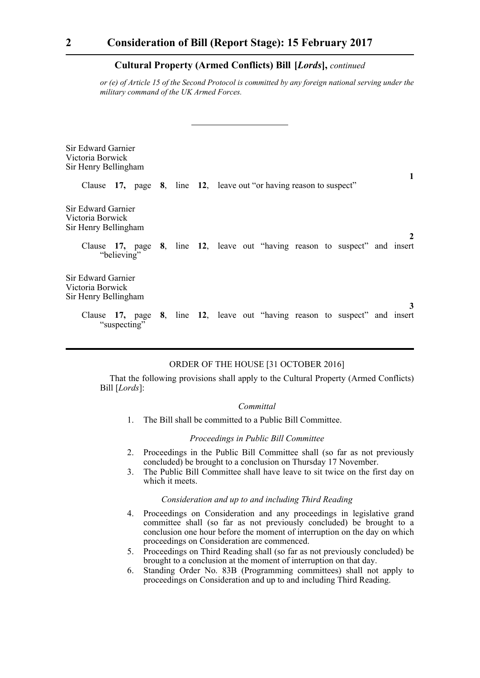### **Cultural Property (Armed Conflicts) Bill-[***Lords***],** *continued*

*or (e) of Article 15 of the Second Protocol is committed by any foreign national serving under the military command of the UK Armed Forces.*

| Sir Edward Garnier<br>Victoria Borwick<br>Sir Henry Bellingham                              |  |                                                                     |  |  |   |
|---------------------------------------------------------------------------------------------|--|---------------------------------------------------------------------|--|--|---|
|                                                                                             |  | Clause 17, page 8, line 12, leave out "or having reason to suspect" |  |  |   |
| Sir Edward Garnier<br>Victoria Borwick<br>Sir Henry Bellingham                              |  |                                                                     |  |  | 2 |
| Clause 17, page 8, line 12, leave out "having reason to suspect" and insert<br>"believing"  |  |                                                                     |  |  |   |
| Sir Edward Garnier<br>Victoria Borwick<br>Sir Henry Bellingham                              |  |                                                                     |  |  |   |
| Clause 17, page 8, line 12, leave out "having reason to suspect" and insert<br>"suspecting" |  |                                                                     |  |  |   |

### ORDER OF THE HOUSE [31 OCTOBER 2016]

That the following provisions shall apply to the Cultural Property (Armed Conflicts) Bill [*Lords*]:

#### *Committal*

1. The Bill shall be committed to a Public Bill Committee.

#### *Proceedings in Public Bill Committee*

- 2. Proceedings in the Public Bill Committee shall (so far as not previously concluded) be brought to a conclusion on Thursday 17 November.
- 3. The Public Bill Committee shall have leave to sit twice on the first day on which it meets.

#### *Consideration and up to and including Third Reading*

- 4. Proceedings on Consideration and any proceedings in legislative grand committee shall (so far as not previously concluded) be brought to a conclusion one hour before the moment of interruption on the day on which proceedings on Consideration are commenced.
- 5. Proceedings on Third Reading shall (so far as not previously concluded) be brought to a conclusion at the moment of interruption on that day.
- 6. Standing Order No. 83B (Programming committees) shall not apply to proceedings on Consideration and up to and including Third Reading.